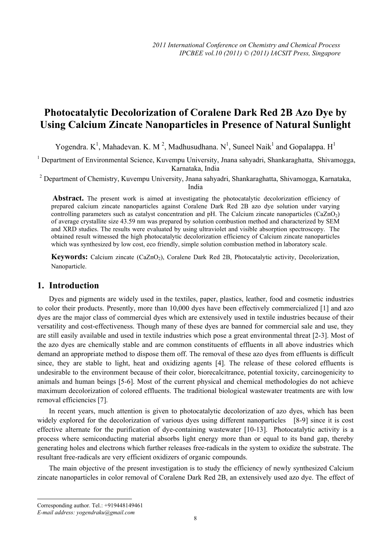# **Photocatalytic Decolorization of Coralene Dark Red 2B Azo Dye by Using Calcium Zincate Nanoparticles in Presence of Natural Sunlight**

Yogendra. K<sup>1</sup>, Mahadevan. K. M<sup>2</sup>, Madhusudhana. N<sup>1</sup>, Suneel Naik<sup>1</sup> and Gopalappa. H<sup>1</sup>

<sup>1</sup> Department of Environmental Science, Kuvempu University, Jnana sahyadri, Shankaraghatta, Shivamogga, Karnataka, India

<sup>2</sup> Department of Chemistry, Kuvempu University, Jnana sahyadri, Shankaraghatta, Shivamogga, Karnataka, India

Abstract. The present work is aimed at investigating the photocatalytic decolorization efficiency of prepared calcium zincate nanoparticles against Coralene Dark Red 2B azo dye solution under varying controlling parameters such as catalyst concentration and  $pH$ . The Calcium zincate nanoparticles (CaZnO<sub>2</sub>) of average crystallite size 43.59 nm was prepared by solution combustion method and characterized by SEM and XRD studies. The results were evaluated by using ultraviolet and visible absorption spectroscopy. The obtained result witnessed the high photocatalytic decolorization efficiency of Calcium zincate nanoparticles which was synthesized by low cost, eco friendly, simple solution combustion method in laboratory scale.

**Keywords:** Calcium zincate (CaZnO<sub>2</sub>), Coralene Dark Red 2B, Photocatalytic activity, Decolorization, Nanoparticle.

# **1. Introduction**

Dyes and pigments are widely used in the textiles, paper, plastics, leather, food and cosmetic industries to color their products. Presently, more than 10,000 dyes have been effectively commercialized [1] and azo dyes are the major class of commercial dyes which are extensively used in textile industries because of their versatility and cost-effectiveness. Though many of these dyes are banned for commercial sale and use, they are still easily available and used in textile industries which pose a great environmental threat [2-3]. Most of the azo dyes are chemically stable and are common constituents of effluents in all above industries which demand an appropriate method to dispose them off. The removal of these azo dyes from effluents is difficult since, they are stable to light, heat and oxidizing agents [4]. The release of these colored effluents is undesirable to the environment because of their color, biorecalcitrance, potential toxicity, carcinogenicity to animals and human beings [5-6]. Most of the current physical and chemical methodologies do not achieve maximum decolorization of colored effluents. The traditional biological wastewater treatments are with low removal efficiencies [7].

In recent years, much attention is given to photocatalytic decolorization of azo dyes, which has been widely explored for the decolorization of various dyes using different nanoparticles [8-9] since it is cost effective alternate for the purification of dye-containing wastewater [10-13]. Photocatalytic activity is a process where semiconducting material absorbs light energy more than or equal to its band gap, thereby generating holes and electrons which further releases free-radicals in the system to oxidize the substrate. The resultant free-radicals are very efficient oxidizers of organic compounds.

The main objective of the present investigation is to study the efficiency of newly synthesized Calcium zincate nanoparticles in color removal of Coralene Dark Red 2B, an extensively used azo dye. The effect of

 $\overline{a}$ 

Corresponding author. Tel.: +919448149461 *E-mail address: yogendraku@gmail.com*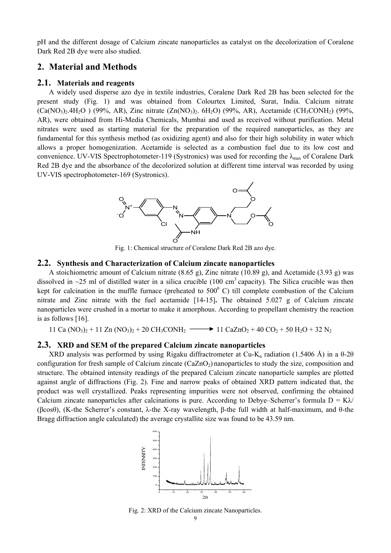pH and the different dosage of Calcium zincate nanoparticles as catalyst on the decolorization of Coralene Dark Red 2B dye were also studied.

# **2. Material and Methods**

## **2.1. Materials and reagents**

A widely used disperse azo dye in textile industries, Coralene Dark Red 2B has been selected for the present study (Fig. 1) and was obtained from Colourtex Limited, Surat, India. Calcium nitrate  $(Ca(NO<sub>3</sub>)<sub>2</sub>.4H<sub>2</sub>O)$  (99%, AR), Zinc nitrate  $(Zn(NO<sub>3</sub>)<sub>2</sub>$ . 6H<sub>2</sub>O) (99%, AR), Acetamide (CH<sub>3</sub>CONH<sub>2</sub>) (99%, AR), were obtained from Hi-Media Chemicals, Mumbai and used as received without purification. Metal nitrates were used as starting material for the preparation of the required nanoparticles, as they are fundamental for this synthesis method (as oxidizing agent) and also for their high solubility in water which allows a proper homogenization. Acetamide is selected as a combustion fuel due to its low cost and convenience. UV-VIS Spectrophotometer-119 (Systronics) was used for recording the  $\lambda_{\text{max}}$  of Coralene Dark Red 2B dye and the absorbance of the decolorized solution at different time interval was recorded by using UV-VIS spectrophotometer-169 (Systronics).



Fig. 1: Chemical structure of Coralene Dark Red 2B azo dye.

#### **2.2. Synthesis and Characterization of Calcium zincate nanoparticles**

A stoichiometric amount of Calcium nitrate (8.65 g), Zinc nitrate (10.89 g), and Acetamide (3.93 g) was dissolved in  $\sim$ 25 ml of distilled water in a silica crucible (100 cm<sup>3</sup> capacity). The Silica crucible was then kept for calcination in the muffle furnace (preheated to  $500^{\circ}$  C) till complete combustion of the Calcium nitrate and Zinc nitrate with the fuel acetamide [14-15]**.** The obtained 5.027 g of Calcium zincate nanoparticles were crushed in a mortar to make it amorphous. According to propellant chemistry the reaction is as follows [16].

11 Ca (NO<sub>3</sub>)<sub>2</sub> + 11 Zn (NO<sub>3</sub>)<sub>2</sub> + 20 CH<sub>3</sub>CONH<sub>2</sub>  $\longrightarrow$  11 CaZnO<sub>2</sub> + 40 CO<sub>2</sub> + 50 H<sub>2</sub>O + 32 N<sub>2</sub>

#### **2.3. XRD and SEM of the prepared Calcium zincate nanoparticles**

XRD analysis was performed by using Rigaku diffractrometer at Cu-K<sub>α</sub> radiation (1.5406 Å) in a  $\theta$ -2 $\theta$ configuration for fresh sample of Calcium zincate  $(CaZnO<sub>2</sub>)$  nanoparticles to study the size, composition and structure. The obtained intensity readings of the prepared Calcium zincate nanoparticle samples are plotted against angle of diffractions (Fig. 2). Fine and narrow peaks of obtained XRD pattern indicated that, the product was well crystallized. Peaks representing impurities were not observed, confirming the obtained Calcium zincate nanoparticles after calcinations is pure. According to Debye–Scherrer's formula  $D = K\lambda$ (βcosθ), (K-the Scherrer's constant, λ-the X-ray wavelength, β-the full width at half-maximum, and θ-the Bragg diffraction angle calculated) the average crystallite size was found to be 43.59 nm.



Fig. 2: XRD of the Calcium zincate Nanoparticles.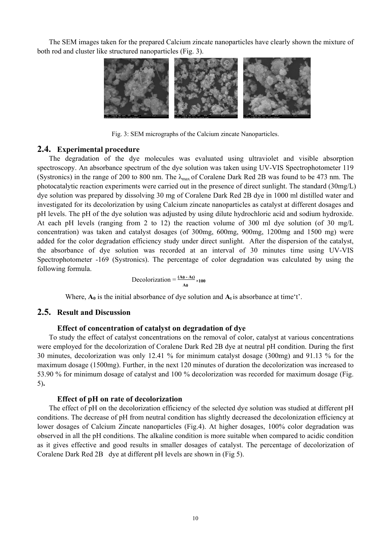The SEM images taken for the prepared Calcium zincate nanoparticles have clearly shown the mixture of both rod and cluster like structured nanoparticles (Fig. 3).



Fig. 3: SEM micrographs of the Calcium zincate Nanoparticles.

## **2.4. Experimental procedure**

The degradation of the dye molecules was evaluated using ultraviolet and visible absorption spectroscopy. An absorbance spectrum of the dye solution was taken using UV-VIS Spectrophotometer 119 (Systronics) in the range of 200 to 800 nm. The  $\lambda_{\text{max}}$  of Coralene Dark Red 2B was found to be 473 nm. The photocatalytic reaction experiments were carried out in the presence of direct sunlight. The standard (30mg/L) dye solution was prepared by dissolving 30 mg of Coralene Dark Red 2B dye in 1000 ml distilled water and investigated for its decolorization by using Calcium zincate nanoparticles as catalyst at different dosages and pH levels. The pH of the dye solution was adjusted by using dilute hydrochloric acid and sodium hydroxide. At each pH levels (ranging from 2 to 12) the reaction volume of 300 ml dye solution (of 30 mg/L concentration) was taken and catalyst dosages (of 300mg, 600mg, 900mg, 1200mg and 1500 mg) were added for the color degradation efficiency study under direct sunlight. After the dispersion of the catalyst, the absorbance of dye solution was recorded at an interval of 30 minutes time using UV-VIS Spectrophotometer -169 (Systronics). The percentage of color degradation was calculated by using the following formula.

**Decolorization** =  $\frac{(A0 - At)}{A0} \times 100$ 

Where,  $A_0$  is the initial absorbance of dye solution and  $A_t$  is absorbance at time't'.

## **2.5. Result and Discussion**

## **Effect of concentration of catalyst on degradation of dye**

To study the effect of catalyst concentrations on the removal of color, catalyst at various concentrations were employed for the decolorization of Coralene Dark Red 2B dye at neutral pH condition. During the first 30 minutes, decolorization was only 12.41 % for minimum catalyst dosage (300mg) and 91.13 % for the maximum dosage (1500mg). Further, in the next 120 minutes of duration the decolorization was increased to 53.90 % for minimum dosage of catalyst and 100 % decolorization was recorded for maximum dosage (Fig. 5)**.** 

### **Effect of pH on rate of decolorization**

The effect of pH on the decolorization efficiency of the selected dye solution was studied at different pH conditions. The decrease of pH from neutral condition has slightly decreased the decolonization efficiency at lower dosages of Calcium Zincate nanoparticles (Fig.4). At higher dosages, 100% color degradation was observed in all the pH conditions. The alkaline condition is more suitable when compared to acidic condition as it gives effective and good results in smaller dosages of catalyst. The percentage of decolorization of Coralene Dark Red 2B dye at different pH levels are shown in (Fig 5).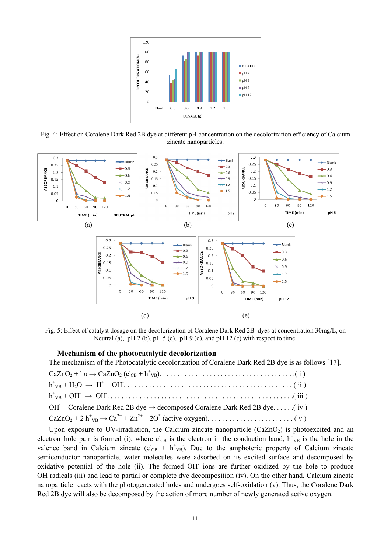

Fig. 4: Effect on Coralene Dark Red 2B dye at different pH concentration on the decolorization efficiency of Calcium zincate nanoparticles.



Fig. 5: Effect of catalyst dosage on the decolorization of Coralene Dark Red 2B dyes at concentration 30mg/L, on Neutral (a), pH 2 (b), pH 5 (c), pH 9 (d), and pH 12 (e) with respect to time.

#### **Mechanism of the photocatalytic decolorization**

The mechanism of the Photocatalytic decolorization of Coralene Dark Red 2B dye is as follows [17].

| $h_{VB}^+$ + OH $\rightarrow$ OH $\ldots$ $\ldots$ $\ldots$ $\ldots$ $\ldots$ $\ldots$ $\ldots$ $\ldots$ $\ldots$ $\ldots$ $\ldots$ $\ldots$ $\ldots$ $\ldots$ $\ldots$ $\ldots$ $\ldots$ $\ldots$ $\ldots$ $\ldots$ |
|----------------------------------------------------------------------------------------------------------------------------------------------------------------------------------------------------------------------|
| OH + Coralene Dark Red 2B dye $\rightarrow$ decomposed Coralene Dark Red 2B dye(iv)                                                                                                                                  |
|                                                                                                                                                                                                                      |
|                                                                                                                                                                                                                      |

Upon exposure to UV-irradiation, the Calcium zincate nanoparticle  $(CaZnO<sub>2</sub>)$  is photoexcited and an electron–hole pair is formed (i), where  $\vec{e}_{CB}$  is the electron in the conduction band,  $h_{VB}^+$  is the hole in the valence band in Calcium zincate ( $e_{CB} + h_{VB}^+$ ). Due to the amphoteric property of Calcium zincate semiconductor nanoparticle, water molecules were adsorbed on its excited surface and decomposed by oxidative potential of the hole (ii). The formed OH ions are further oxidized by the hole to produce OH**·** radicals (iii) and lead to partial or complete dye decomposition (iv). On the other hand, Calcium zincate nanoparticle reacts with the photogenerated holes and undergoes self-oxidation (v). Thus, the Coralene Dark Red 2B dye will also be decomposed by the action of more number of newly generated active oxygen.